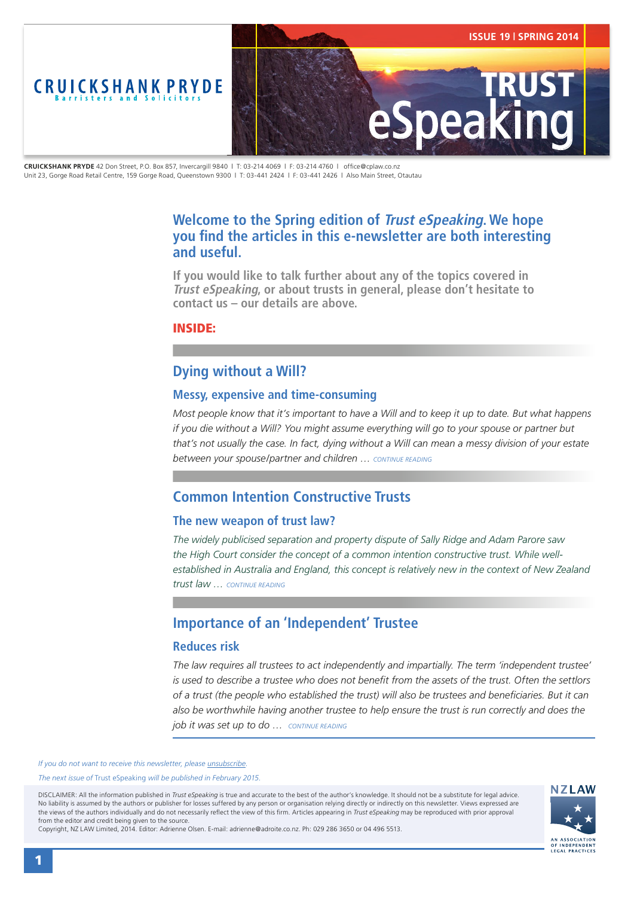<span id="page-0-0"></span>

**CRUICKSHANK PRYDE** 42 Don Street, P.O. Box 857, Invercargill 9840 | T: 03-214 4069 | F: 03-214 4760 | office@cplaw.co.nz Unit 23, Gorge Road Retail Centre, 159 Gorge Road, Queenstown 9300 | T: 03-441 2424 | F: 03-441 2426 | Also Main Street, Otautau

# **Welcome to the Spring edition of Trust eSpeaking. We hope you find the articles in this e-newsletter are both interesting and useful.**

**If you would like to talk further about any of the topics covered in Trust eSpeaking, or about trusts in general, please don't hesitate to contact us – our details are above.**

### INSIDE:

# **Dying without a Will?**

### **Messy, expensive and time-consuming**

*Most people know that it's important to have a Will and to keep it up to date. But what happens if you die without a Will? You might assume everything will go to your spouse or partner but that's not usually the case. In fact, dying without a Will can mean a messy division of your estate between your spouse/partner and children … [CONTINUE READING](#page-1-0)*

# **Common Intention Constructive Trusts**

### **The new weapon of trust law?**

*The widely publicised separation and property dispute of Sally Ridge and Adam Parore saw the High Court consider the concept of a common intention constructive trust. While wellestablished in Australia and England, this concept is relatively new in the context of New Zealand trust law … [CONTINUE READING](#page-2-0)*

# **Importance of an 'Independent' Trustee**

### **Reduces risk**

*The law requires all trustees to act independently and impartially. The term 'independent trustee' is used to describe a trustee who does not benefit from the assets of the trust. Often the settlors of a trust (the people who established the trust) will also be trustees and beneficiaries. But it can also be worthwhile having another trustee to help ensure the trust is run correctly and does the job it was set up to do … [CONTINUE READING](#page-3-0)*

*If you do not want to receive this newsletter, please [unsubscribe.](mailto:adrienne@adroite.co.nz)* 

*The next issue of* Trust eSpeaking *will be published in February 2015.*

DISCLAIMER: All the information published in *Trust eSpeaking* is true and accurate to the best of the author's knowledge. It should not be a substitute for legal advice. No liability is assumed by the authors or publisher for losses suffered by any person or organisation relying directly or indirectly on this newsletter. Views expressed are the views of the authors individually and do not necessarily reflect the view of this firm. Articles appearing in *Trust eSpeaking* may be reproduced with prior approval from the editor and credit being given to the source.



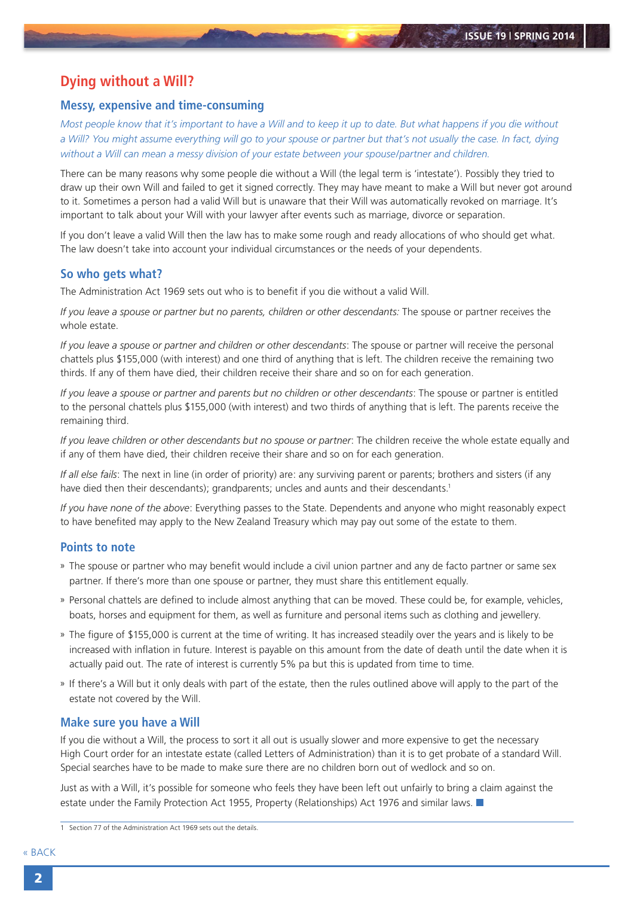# <span id="page-1-0"></span>**Dying without a Will?**

#### **Messy, expensive and time-consuming**

*Most people know that it's important to have a Will and to keep it up to date. But what happens if you die without a Will? You might assume everything will go to your spouse or partner but that's not usually the case. In fact, dying without a Will can mean a messy division of your estate between your spouse/partner and children.*

There can be many reasons why some people die without a Will (the legal term is 'intestate'). Possibly they tried to draw up their own Will and failed to get it signed correctly. They may have meant to make a Will but never got around to it. Sometimes a person had a valid Will but is unaware that their Will was automatically revoked on marriage. It's important to talk about your Will with your lawyer after events such as marriage, divorce or separation.

If you don't leave a valid Will then the law has to make some rough and ready allocations of who should get what. The law doesn't take into account your individual circumstances or the needs of your dependents.

#### **So who gets what?**

The Administration Act 1969 sets out who is to benefit if you die without a valid Will.

*If you leave a spouse or partner but no parents, children or other descendants:* The spouse or partner receives the whole estate.

*If you leave a spouse or partner and children or other descendants*: The spouse or partner will receive the personal chattels plus \$155,000 (with interest) and one third of anything that is left. The children receive the remaining two thirds. If any of them have died, their children receive their share and so on for each generation.

*If you leave a spouse or partner and parents but no children or other descendants:* The spouse or partner is entitled to the personal chattels plus \$155,000 (with interest) and two thirds of anything that is left. The parents receive the remaining third.

*If you leave children or other descendants but no spouse or partner*: The children receive the whole estate equally and if any of them have died, their children receive their share and so on for each generation.

*If all else fails*: The next in line (in order of priority) are: any surviving parent or parents; brothers and sisters (if any have died then their descendants); grandparents; uncles and aunts and their descendants.<sup>1</sup>

*If you have none of the above*: Everything passes to the State. Dependents and anyone who might reasonably expect to have benefited may apply to the New Zealand Treasury which may pay out some of the estate to them.

### **Points to note**

- » The spouse or partner who may benefit would include a civil union partner and any de facto partner or same sex partner. If there's more than one spouse or partner, they must share this entitlement equally.
- » Personal chattels are defined to include almost anything that can be moved. These could be, for example, vehicles, boats, horses and equipment for them, as well as furniture and personal items such as clothing and jewellery.
- » The figure of \$155,000 is current at the time of writing. It has increased steadily over the years and is likely to be increased with inflation in future. Interest is payable on this amount from the date of death until the date when it is actually paid out. The rate of interest is currently 5% pa but this is updated from time to time.
- » If there's a Will but it only deals with part of the estate, then the rules outlined above will apply to the part of the estate not covered by the Will.

#### **Make sure you have a Will**

If you die without a Will, the process to sort it all out is usually slower and more expensive to get the necessary High Court order for an intestate estate (called Letters of Administration) than it is to get probate of a standard Will. Special searches have to be made to make sure there are no children born out of wedlock and so on.

Just as with a Will, it's possible for someone who feels they have been left out unfairly to bring a claim against the estate under the Family Protection Act 1955, Property (Relationships) Act 1976 and similar laws.

<sup>1</sup> Section 77 of the Administration Act 1969 sets out the details.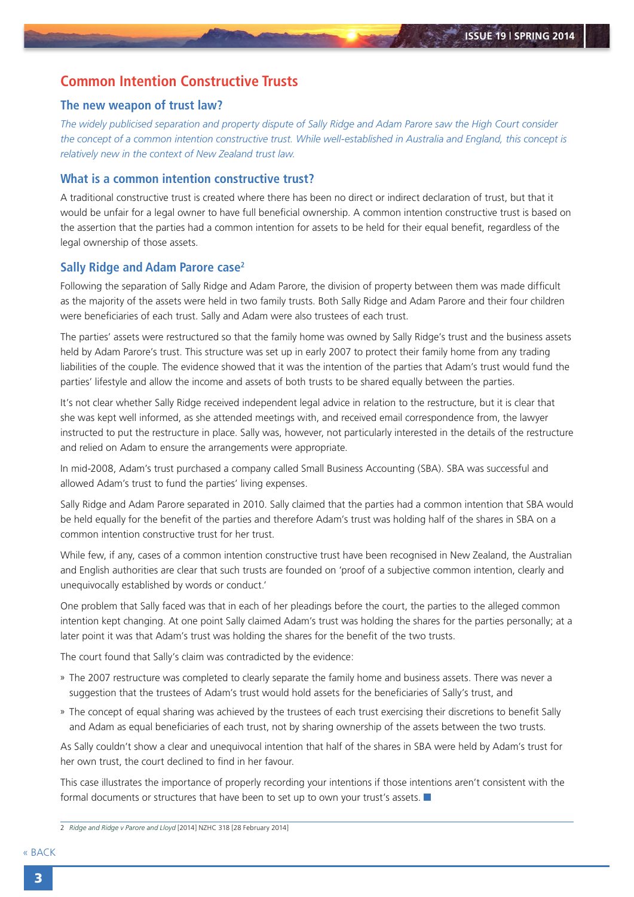## <span id="page-2-0"></span>**Common Intention Constructive Trusts**

### **The new weapon of trust law?**

*The widely publicised separation and property dispute of Sally Ridge and Adam Parore saw the High Court consider the concept of a common intention constructive trust. While well-established in Australia and England, this concept is relatively new in the context of New Zealand trust law.*

### **What is a common intention constructive trust?**

A traditional constructive trust is created where there has been no direct or indirect declaration of trust, but that it would be unfair for a legal owner to have full beneficial ownership. A common intention constructive trust is based on the assertion that the parties had a common intention for assets to be held for their equal benefit, regardless of the legal ownership of those assets.

#### **Sally Ridge and Adam Parore case2**

Following the separation of Sally Ridge and Adam Parore, the division of property between them was made difficult as the majority of the assets were held in two family trusts. Both Sally Ridge and Adam Parore and their four children were beneficiaries of each trust. Sally and Adam were also trustees of each trust.

The parties' assets were restructured so that the family home was owned by Sally Ridge's trust and the business assets held by Adam Parore's trust. This structure was set up in early 2007 to protect their family home from any trading liabilities of the couple. The evidence showed that it was the intention of the parties that Adam's trust would fund the parties' lifestyle and allow the income and assets of both trusts to be shared equally between the parties.

It's not clear whether Sally Ridge received independent legal advice in relation to the restructure, but it is clear that she was kept well informed, as she attended meetings with, and received email correspondence from, the lawyer instructed to put the restructure in place. Sally was, however, not particularly interested in the details of the restructure and relied on Adam to ensure the arrangements were appropriate.

In mid-2008, Adam's trust purchased a company called Small Business Accounting (SBA). SBA was successful and allowed Adam's trust to fund the parties' living expenses.

Sally Ridge and Adam Parore separated in 2010. Sally claimed that the parties had a common intention that SBA would be held equally for the benefit of the parties and therefore Adam's trust was holding half of the shares in SBA on a common intention constructive trust for her trust.

While few, if any, cases of a common intention constructive trust have been recognised in New Zealand, the Australian and English authorities are clear that such trusts are founded on 'proof of a subjective common intention, clearly and unequivocally established by words or conduct.'

One problem that Sally faced was that in each of her pleadings before the court, the parties to the alleged common intention kept changing. At one point Sally claimed Adam's trust was holding the shares for the parties personally; at a later point it was that Adam's trust was holding the shares for the benefit of the two trusts.

The court found that Sally's claim was contradicted by the evidence:

- » The 2007 restructure was completed to clearly separate the family home and business assets. There was never a suggestion that the trustees of Adam's trust would hold assets for the beneficiaries of Sally's trust, and
- » The concept of equal sharing was achieved by the trustees of each trust exercising their discretions to benefit Sally and Adam as equal beneficiaries of each trust, not by sharing ownership of the assets between the two trusts.

As Sally couldn't show a clear and unequivocal intention that half of the shares in SBA were held by Adam's trust for her own trust, the court declined to find in her favour.

This case illustrates the importance of properly recording your intentions if those intentions aren't consistent with the formal documents or structures that have been to set up to own your trust's assets.

<sup>2</sup> *Ridge and Ridge v Parore and Lloyd* [2014] NZHC 318 [28 February 2014]